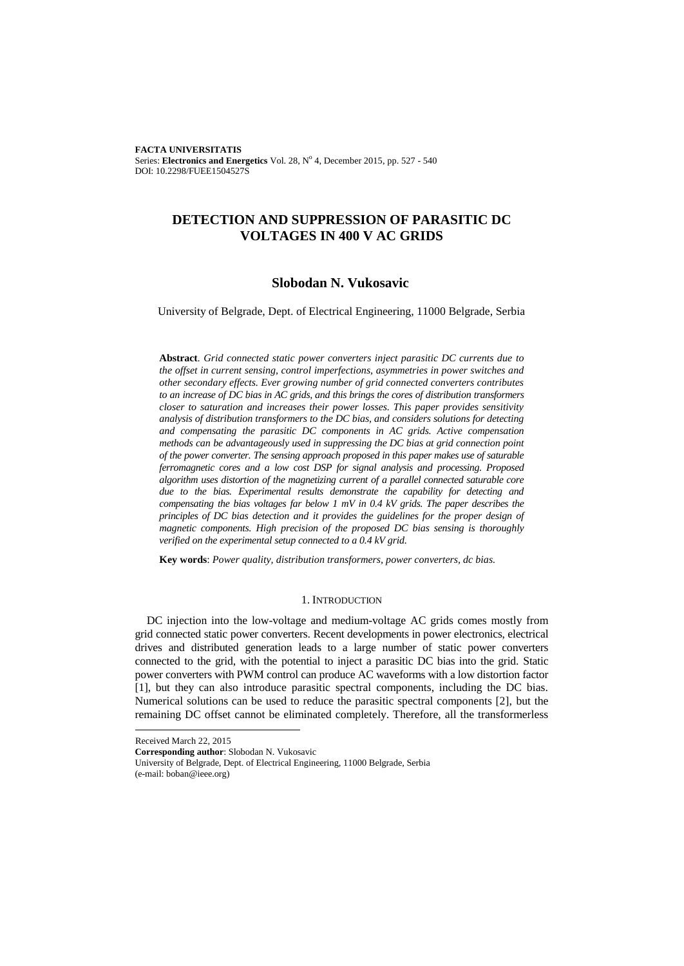**FACTA UNIVERSITATIS** Series: Electronics and Energetics Vol. 28, Nº 4, December 2015, pp. 527 - 540 DOI: 10.2298/FUEE1504527S

# **DETECTION AND SUPPRESSION OF PARASITIC DC VOLTAGES IN 400 V AC GRIDS**

# **Slobodan N. Vukosavic**

University of Belgrade, Dept. of Electrical Engineering, 11000 Belgrade, Serbia

**Abstract**. *Grid connected static power converters inject parasitic DC currents due to the offset in current sensing, control imperfections, asymmetries in power switches and other secondary effects. Ever growing number of grid connected converters contributes to an increase of DC bias in AC grids, and this brings the cores of distribution transformers closer to saturation and increases their power losses. This paper provides sensitivity analysis of distribution transformers to the DC bias, and considers solutions for detecting and compensating the parasitic DC components in AC grids. Active compensation methods can be advantageously used in suppressing the DC bias at grid connection point of the power converter. The sensing approach proposed in this paper makes use of saturable ferromagnetic cores and a low cost DSP for signal analysis and processing. Proposed algorithm uses distortion of the magnetizing current of a parallel connected saturable core due to the bias. Experimental results demonstrate the capability for detecting and compensating the bias voltages far below 1 mV in 0.4 kV grids. The paper describes the principles of DC bias detection and it provides the guidelines for the proper design of magnetic components. High precision of the proposed DC bias sensing is thoroughly verified on the experimental setup connected to a 0.4 kV grid.*

**Key words**: *Power quality, distribution transformers, power converters, dc bias.*

### 1. INTRODUCTION

DC injection into the low-voltage and medium-voltage AC grids comes mostly from grid connected static power converters. Recent developments in power electronics, electrical drives and distributed generation leads to a large number of static power converters connected to the grid, with the potential to inject a parasitic DC bias into the grid. Static power converters with PWM control can produce AC waveforms with a low distortion factor [1], but they can also introduce parasitic spectral components, including the DC bias. Numerical solutions can be used to reduce the parasitic spectral components [2], but the remaining DC offset cannot be eliminated completely. Therefore, all the transformerless

l

Received March 22, 2015

**Corresponding author**: Slobodan N. Vukosavic

University of Belgrade, Dept. of Electrical Engineering, 11000 Belgrade, Serbia (e-mail: boban@ieee.org)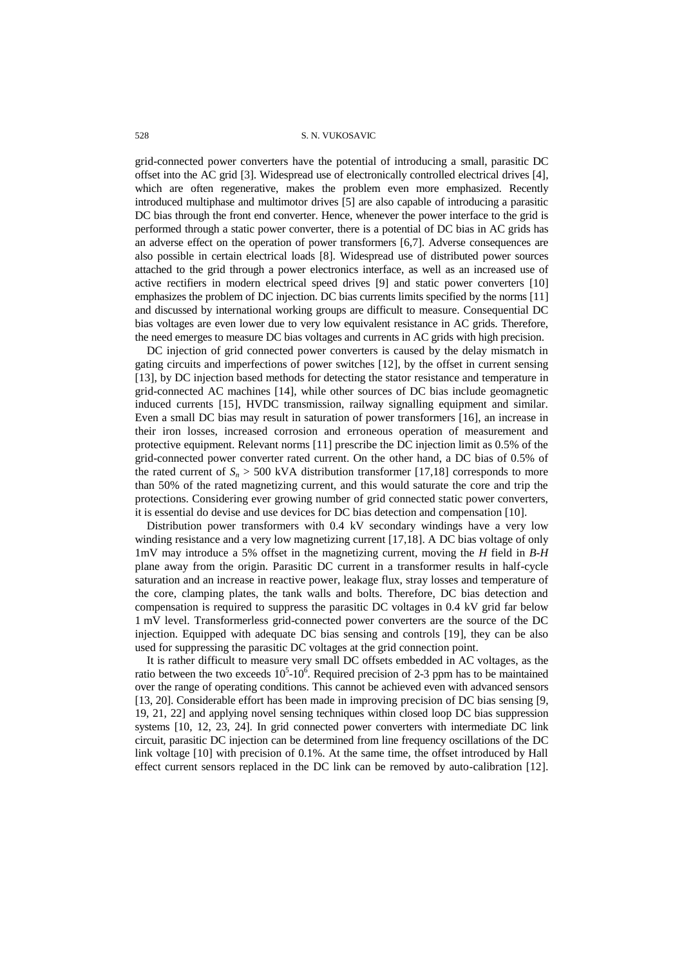grid-connected power converters have the potential of introducing a small, parasitic DC offset into the AC grid [3]. Widespread use of electronically controlled electrical drives [4], which are often regenerative, makes the problem even more emphasized. Recently introduced multiphase and multimotor drives [5] are also capable of introducing a parasitic DC bias through the front end converter. Hence, whenever the power interface to the grid is performed through a static power converter, there is a potential of DC bias in AC grids has an adverse effect on the operation of power transformers [6,7]. Adverse consequences are also possible in certain electrical loads [8]. Widespread use of distributed power sources attached to the grid through a power electronics interface, as well as an increased use of active rectifiers in modern electrical speed drives [9] and static power converters [10] emphasizes the problem of DC injection. DC bias currents limits specified by the norms [11] and discussed by international working groups are difficult to measure. Consequential DC bias voltages are even lower due to very low equivalent resistance in AC grids. Therefore, the need emerges to measure DC bias voltages and currents in AC grids with high precision.

DC injection of grid connected power converters is caused by the delay mismatch in gating circuits and imperfections of power switches [12], by the offset in current sensing [13], by DC injection based methods for detecting the stator resistance and temperature in grid-connected AC machines [14], while other sources of DC bias include geomagnetic induced currents [15], HVDC transmission, railway signalling equipment and similar. Even a small DC bias may result in saturation of power transformers [16], an increase in their iron losses, increased corrosion and erroneous operation of measurement and protective equipment. Relevant norms [11] prescribe the DC injection limit as 0.5% of the grid-connected power converter rated current. On the other hand, a DC bias of 0.5% of the rated current of  $S_n > 500$  kVA distribution transformer [17,18] corresponds to more than 50% of the rated magnetizing current, and this would saturate the core and trip the protections. Considering ever growing number of grid connected static power converters, it is essential do devise and use devices for DC bias detection and compensation [10].

Distribution power transformers with 0.4 kV secondary windings have a very low winding resistance and a very low magnetizing current [17,18]. A DC bias voltage of only 1mV may introduce a 5% offset in the magnetizing current, moving the *H* field in *B-H*  plane away from the origin. Parasitic DC current in a transformer results in half-cycle saturation and an increase in reactive power, leakage flux, stray losses and temperature of the core, clamping plates, the tank walls and bolts. Therefore, DC bias detection and compensation is required to suppress the parasitic DC voltages in 0.4 kV grid far below 1 mV level. Transformerless grid-connected power converters are the source of the DC injection. Equipped with adequate DC bias sensing and controls [19], they can be also used for suppressing the parasitic DC voltages at the grid connection point.

It is rather difficult to measure very small DC offsets embedded in AC voltages, as the ratio between the two exceeds  $10^5$ - $10^6$ . Required precision of 2-3 ppm has to be maintained over the range of operating conditions. This cannot be achieved even with advanced sensors [13, 20]. Considerable effort has been made in improving precision of DC bias sensing [9, 19, 21, 22] and applying novel sensing techniques within closed loop DC bias suppression systems [10, 12, 23, 24]. In grid connected power converters with intermediate DC link circuit, parasitic DC injection can be determined from line frequency oscillations of the DC link voltage [10] with precision of 0.1%. At the same time, the offset introduced by Hall effect current sensors replaced in the DC link can be removed by auto-calibration [12].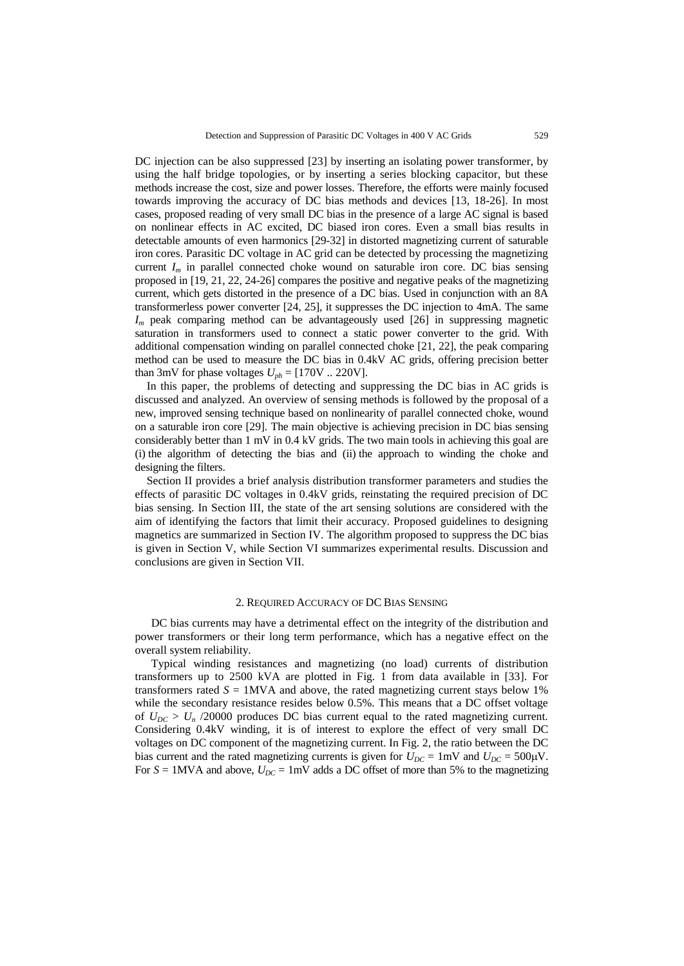DC injection can be also suppressed [23] by inserting an isolating power transformer, by using the half bridge topologies, or by inserting a series blocking capacitor, but these methods increase the cost, size and power losses. Therefore, the efforts were mainly focused towards improving the accuracy of DC bias methods and devices [13, 18-26]. In most cases, proposed reading of very small DC bias in the presence of a large AC signal is based on nonlinear effects in AC excited, DC biased iron cores. Even a small bias results in detectable amounts of even harmonics [29-32] in distorted magnetizing current of saturable iron cores. Parasitic DC voltage in AC grid can be detected by processing the magnetizing current  $I_m$  in parallel connected choke wound on saturable iron core. DC bias sensing proposed in [19, 21, 22, 24-26] compares the positive and negative peaks of the magnetizing current, which gets distorted in the presence of a DC bias. Used in conjunction with an 8A transformerless power converter [24, 25], it suppresses the DC injection to 4mA. The same *I<sup>m</sup>* peak comparing method can be advantageously used [26] in suppressing magnetic saturation in transformers used to connect a static power converter to the grid. With additional compensation winding on parallel connected choke [21, 22], the peak comparing method can be used to measure the DC bias in 0.4kV AC grids, offering precision better than 3mV for phase voltages  $U_{ph} = [170V, 220V]$ .

In this paper, the problems of detecting and suppressing the DC bias in AC grids is discussed and analyzed. An overview of sensing methods is followed by the proposal of a new, improved sensing technique based on nonlinearity of parallel connected choke, wound on a saturable iron core [29]. The main objective is achieving precision in DC bias sensing considerably better than 1 mV in 0.4 kV grids. The two main tools in achieving this goal are (i) the algorithm of detecting the bias and (ii) the approach to winding the choke and designing the filters.

Section II provides a brief analysis distribution transformer parameters and studies the effects of parasitic DC voltages in 0.4kV grids, reinstating the required precision of DC bias sensing. In Section III, the state of the art sensing solutions are considered with the aim of identifying the factors that limit their accuracy. Proposed guidelines to designing magnetics are summarized in Section IV. The algorithm proposed to suppress the DC bias is given in Section V, while Section VI summarizes experimental results. Discussion and conclusions are given in Section VII.

#### 2. REQUIRED ACCURACY OF DC BIAS SENSING

DC bias currents may have a detrimental effect on the integrity of the distribution and power transformers or their long term performance, which has a negative effect on the overall system reliability.

Typical winding resistances and magnetizing (no load) currents of distribution transformers up to 2500 kVA are plotted in Fig. 1 from data available in [33]. For transformers rated  $S = 1$ MVA and above, the rated magnetizing current stays below 1% while the secondary resistance resides below 0.5%. This means that a DC offset voltage of  $U_{DC} > U_n$  /20000 produces DC bias current equal to the rated magnetizing current. Considering 0.4kV winding, it is of interest to explore the effect of very small DC voltages on DC component of the magnetizing current. In Fig. 2, the ratio between the DC bias current and the rated magnetizing currents is given for  $U_{DC} = 1 \text{mV}$  and  $U_{DC} = 500 \mu\text{V}$ . For  $S = 1$ MVA and above,  $U_{DC} = 1$ mV adds a DC offset of more than 5% to the magnetizing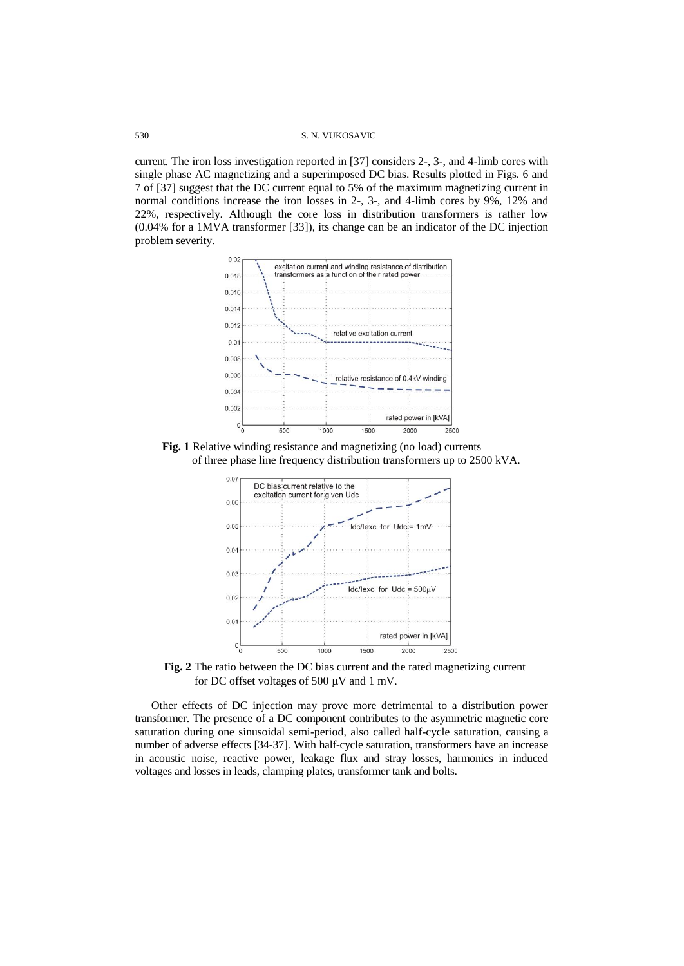current. The iron loss investigation reported in [37] considers 2-, 3-, and 4-limb cores with single phase AC magnetizing and a superimposed DC bias. Results plotted in Figs. 6 and 7 of [37] suggest that the DC current equal to 5% of the maximum magnetizing current in normal conditions increase the iron losses in 2-, 3-, and 4-limb cores by 9%, 12% and 22%, respectively. Although the core loss in distribution transformers is rather low (0.04% for a 1MVA transformer [33]), its change can be an indicator of the DC injection problem severity.



**Fig. 1** Relative winding resistance and magnetizing (no load) currents of three phase line frequency distribution transformers up to 2500 kVA.



**Fig. 2** The ratio between the DC bias current and the rated magnetizing current for DC offset voltages of 500  $\mu$ V and 1 mV.

Other effects of DC injection may prove more detrimental to a distribution power transformer. The presence of a DC component contributes to the asymmetric magnetic core saturation during one sinusoidal semi-period, also called half-cycle saturation, causing a number of adverse effects [34-37]. With half-cycle saturation, transformers have an increase in acoustic noise, reactive power, leakage flux and stray losses, harmonics in induced voltages and losses in leads, clamping plates, transformer tank and bolts.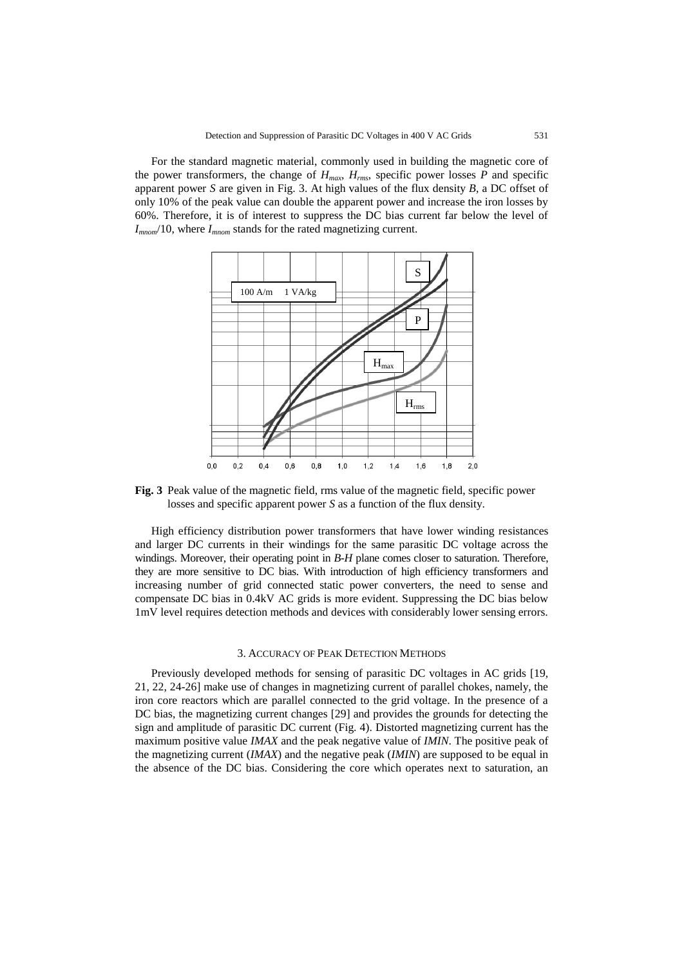For the standard magnetic material, commonly used in building the magnetic core of the power transformers, the change of  $H_{max}$ ,  $H_{rms}$ , specific power losses  $P$  and specific apparent power *S* are given in Fig. 3. At high values of the flux density *B*, a DC offset of only 10% of the peak value can double the apparent power and increase the iron losses by 60%. Therefore, it is of interest to suppress the DC bias current far below the level of *Imnom*/10, where *Imnom* stands for the rated magnetizing current.



**Fig. 3** Peak value of the magnetic field, rms value of the magnetic field, specific power losses and specific apparent power *S* as a function of the flux density.

High efficiency distribution power transformers that have lower winding resistances and larger DC currents in their windings for the same parasitic DC voltage across the windings. Moreover, their operating point in *B-H* plane comes closer to saturation. Therefore, they are more sensitive to DC bias. With introduction of high efficiency transformers and increasing number of grid connected static power converters, the need to sense and compensate DC bias in 0.4kV AC grids is more evident. Suppressing the DC bias below 1mV level requires detection methods and devices with considerably lower sensing errors.

### 3. ACCURACY OF PEAK DETECTION METHODS

Previously developed methods for sensing of parasitic DC voltages in AC grids [19, 21, 22, 24-26] make use of changes in magnetizing current of parallel chokes, namely, the iron core reactors which are parallel connected to the grid voltage. In the presence of a DC bias, the magnetizing current changes [29] and provides the grounds for detecting the sign and amplitude of parasitic DC current (Fig. 4). Distorted magnetizing current has the maximum positive value *IMAX* and the peak negative value of *IMIN*. The positive peak of the magnetizing current (*IMAX*) and the negative peak (*IMIN*) are supposed to be equal in the absence of the DC bias. Considering the core which operates next to saturation, an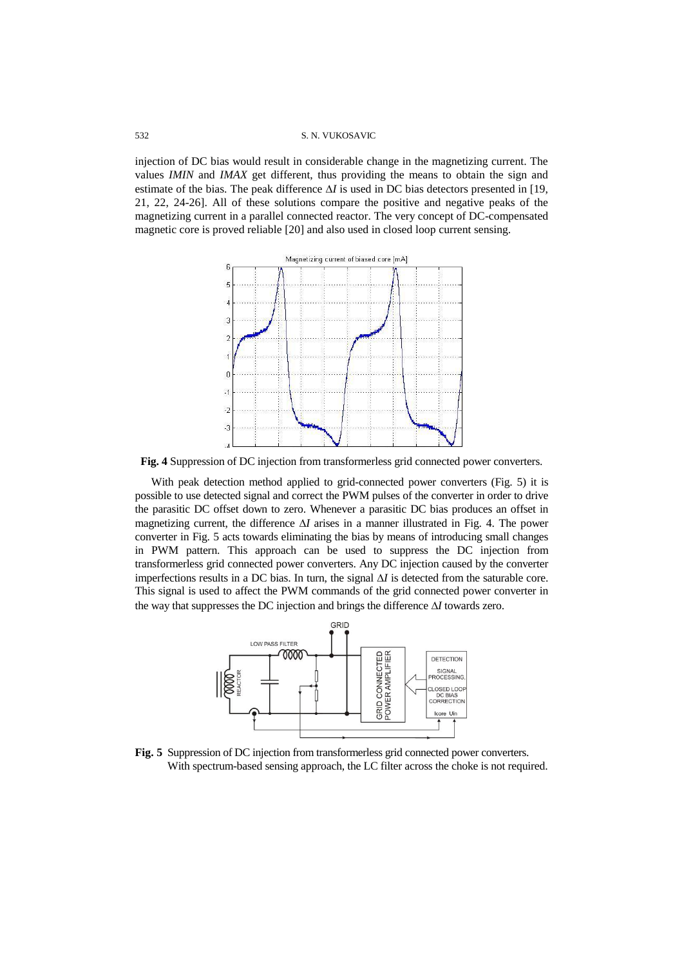injection of DC bias would result in considerable change in the magnetizing current. The values *IMIN* and *IMAX* get different, thus providing the means to obtain the sign and estimate of the bias. The peak difference  $\Delta I$  is used in DC bias detectors presented in [19, 21, 22, 24-26]. All of these solutions compare the positive and negative peaks of the magnetizing current in a parallel connected reactor. The very concept of DC-compensated magnetic core is proved reliable [20] and also used in closed loop current sensing.



**Fig. 4** Suppression of DC injection from transformerless grid connected power converters.

With peak detection method applied to grid-connected power converters (Fig. 5) it is possible to use detected signal and correct the PWM pulses of the converter in order to drive the parasitic DC offset down to zero. Whenever a parasitic DC bias produces an offset in magnetizing current, the difference  $\Delta I$  arises in a manner illustrated in Fig. 4. The power converter in Fig. 5 acts towards eliminating the bias by means of introducing small changes in PWM pattern. This approach can be used to suppress the DC injection from transformerless grid connected power converters. Any DC injection caused by the converter imperfections results in a DC bias. In turn, the signal  $\Delta I$  is detected from the saturable core. This signal is used to affect the PWM commands of the grid connected power converter in the way that suppresses the DC injection and brings the difference  $\Delta I$  towards zero.



**Fig. 5** Suppression of DC injection from transformerless grid connected power converters. With spectrum-based sensing approach, the LC filter across the choke is not required.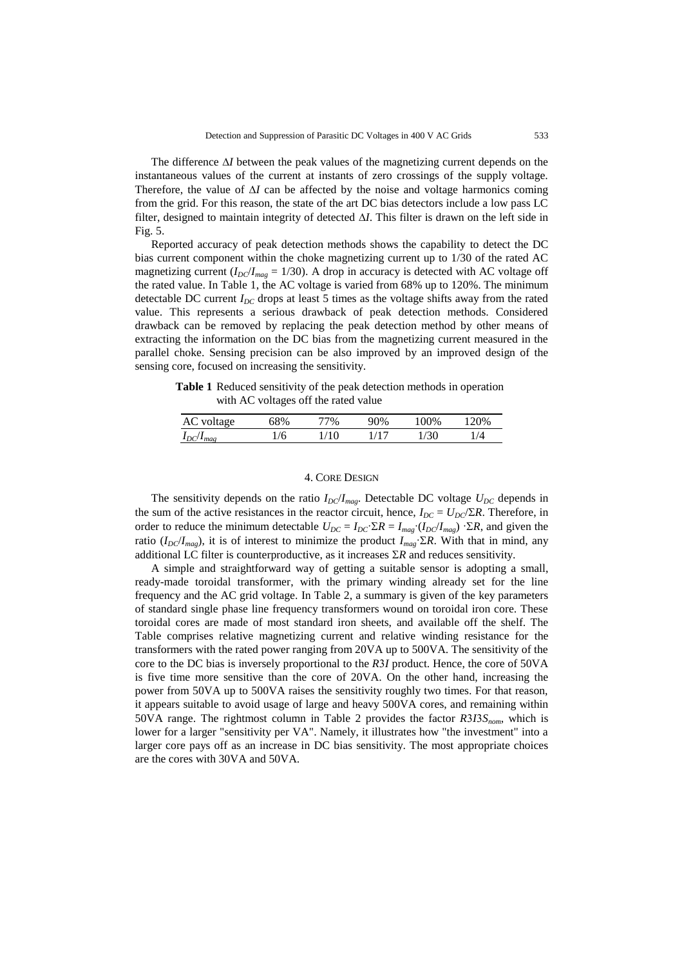The difference  $\Delta I$  between the peak values of the magnetizing current depends on the instantaneous values of the current at instants of zero crossings of the supply voltage. Therefore, the value of  $\Delta l$  can be affected by the noise and voltage harmonics coming from the grid. For this reason, the state of the art DC bias detectors include a low pass LC filter, designed to maintain integrity of detected  $\Delta I$ . This filter is drawn on the left side in Fig. 5.

Reported accuracy of peak detection methods shows the capability to detect the DC bias current component within the choke magnetizing current up to 1/30 of the rated AC magnetizing current  $(I_{DC}/I_{mag} = 1/30)$ . A drop in accuracy is detected with AC voltage off the rated value. In Table 1, the AC voltage is varied from 68% up to 120%. The minimum detectable DC current  $I_{DC}$  drops at least 5 times as the voltage shifts away from the rated value. This represents a serious drawback of peak detection methods. Considered drawback can be removed by replacing the peak detection method by other means of extracting the information on the DC bias from the magnetizing current measured in the parallel choke. Sensing precision can be also improved by an improved design of the sensing core, focused on increasing the sensitivity.

**Table 1** Reduced sensitivity of the peak detection methods in operation with AC voltages off the rated value

| AC<br>voltage   | 58% | 7% |       | 00% | 20%        |
|-----------------|-----|----|-------|-----|------------|
| $I_{\rm rot}/I$ | 6   | Ί0 | $1 -$ | '30 | $\sqrt{4}$ |

### 4. CORE DESIGN

The sensitivity depends on the ratio  $I_{DC}/I_{mag}$ . Detectable DC voltage  $U_{DC}$  depends in the sum of the active resistances in the reactor circuit, hence,  $I_{DC} = U_{DC}/\Sigma R$ . Therefore, in order to reduce the minimum detectable  $U_{DC} = I_{DC} \cdot \Sigma R = I_{mag} \cdot (I_{DC}/I_{mag}) \cdot \Sigma R$ , and given the ratio  $(I_{DC}/I_{mag})$ , it is of interest to minimize the product  $I_{mag}$ *ER*. With that in mind, any additional LC filter is counterproductive, as it increases  $\Sigma R$  and reduces sensitivity.

A simple and straightforward way of getting a suitable sensor is adopting a small, ready-made toroidal transformer, with the primary winding already set for the line frequency and the AC grid voltage. In Table 2, a summary is given of the key parameters of standard single phase line frequency transformers wound on toroidal iron core. These toroidal cores are made of most standard iron sheets, and available off the shelf. The Table comprises relative magnetizing current and relative winding resistance for the transformers with the rated power ranging from 20VA up to 500VA. The sensitivity of the core to the DC bias is inversely proportional to the *RI* product. Hence, the core of 50VA is five time more sensitive than the core of 20VA. On the other hand, increasing the power from 50VA up to 500VA raises the sensitivity roughly two times. For that reason, it appears suitable to avoid usage of large and heavy 500VA cores, and remaining within 50VA range. The rightmost column in Table 2 provides the factor *RISnom*, which is lower for a larger "sensitivity per VA". Namely, it illustrates how "the investment" into a larger core pays off as an increase in DC bias sensitivity. The most appropriate choices are the cores with 30VA and 50VA.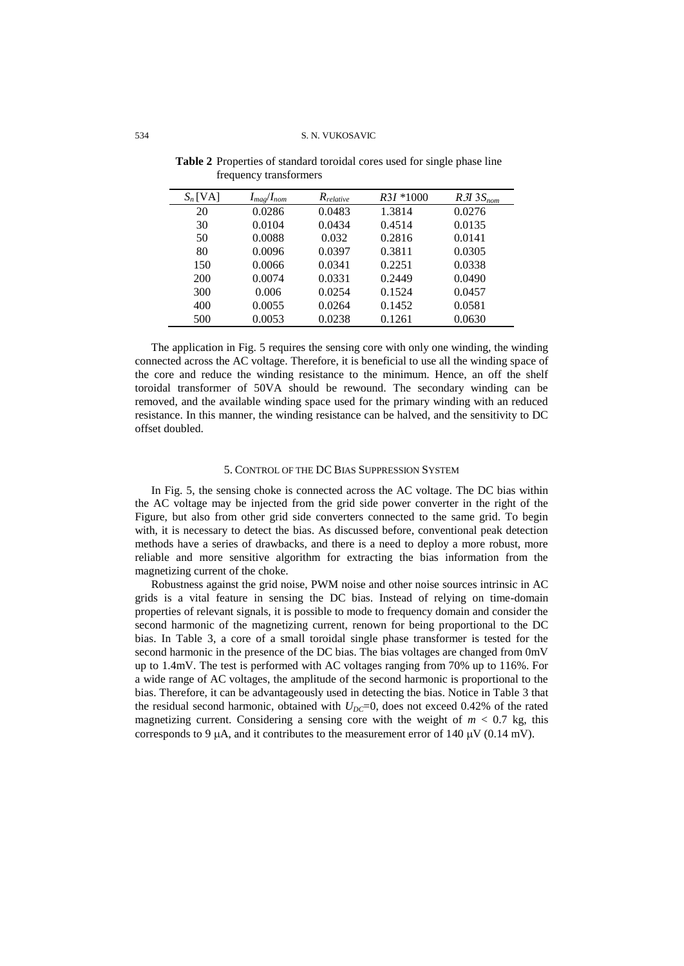| $S_n$ [VA] | $I_{mag}/I_{nom}$ | $R_{relative}$ | $R3I * 1000$ | $R3I$ $3S_{nom}$ |
|------------|-------------------|----------------|--------------|------------------|
| 20         | 0.0286            | 0.0483         | 1.3814       | 0.0276           |
| 30         | 0.0104            | 0.0434         | 0.4514       | 0.0135           |
| 50         | 0.0088            | 0.032          | 0.2816       | 0.0141           |
| 80         | 0.0096            | 0.0397         | 0.3811       | 0.0305           |
| 150        | 0.0066            | 0.0341         | 0.2251       | 0.0338           |
| 200        | 0.0074            | 0.0331         | 0.2449       | 0.0490           |
| 300        | 0.006             | 0.0254         | 0.1524       | 0.0457           |
| 400        | 0.0055            | 0.0264         | 0.1452       | 0.0581           |
| 500        | 0.0053            | 0.0238         | 0.1261       | 0.0630           |

**Table 2** Properties of standard toroidal cores used for single phase line frequency transformers

The application in Fig. 5 requires the sensing core with only one winding, the winding connected across the AC voltage. Therefore, it is beneficial to use all the winding space of the core and reduce the winding resistance to the minimum. Hence, an off the shelf toroidal transformer of 50VA should be rewound. The secondary winding can be removed, and the available winding space used for the primary winding with an reduced resistance. In this manner, the winding resistance can be halved, and the sensitivity to DC offset doubled.

# 5. CONTROL OF THE DC BIAS SUPPRESSION SYSTEM

In Fig. 5, the sensing choke is connected across the AC voltage. The DC bias within the AC voltage may be injected from the grid side power converter in the right of the Figure, but also from other grid side converters connected to the same grid. To begin with, it is necessary to detect the bias. As discussed before, conventional peak detection methods have a series of drawbacks, and there is a need to deploy a more robust, more reliable and more sensitive algorithm for extracting the bias information from the magnetizing current of the choke.

Robustness against the grid noise, PWM noise and other noise sources intrinsic in AC grids is a vital feature in sensing the DC bias. Instead of relying on time-domain properties of relevant signals, it is possible to mode to frequency domain and consider the second harmonic of the magnetizing current, renown for being proportional to the DC bias. In Table 3, a core of a small toroidal single phase transformer is tested for the second harmonic in the presence of the DC bias. The bias voltages are changed from 0mV up to 1.4mV. The test is performed with AC voltages ranging from 70% up to 116%. For a wide range of AC voltages, the amplitude of the second harmonic is proportional to the bias. Therefore, it can be advantageously used in detecting the bias. Notice in Table 3 that the residual second harmonic, obtained with  $U_{DC}=0$ , does not exceed 0.42% of the rated magnetizing current. Considering a sensing core with the weight of  $m < 0.7$  kg, this corresponds to 9  $\mu$ A, and it contributes to the measurement error of 140  $\mu$ V (0.14 mV).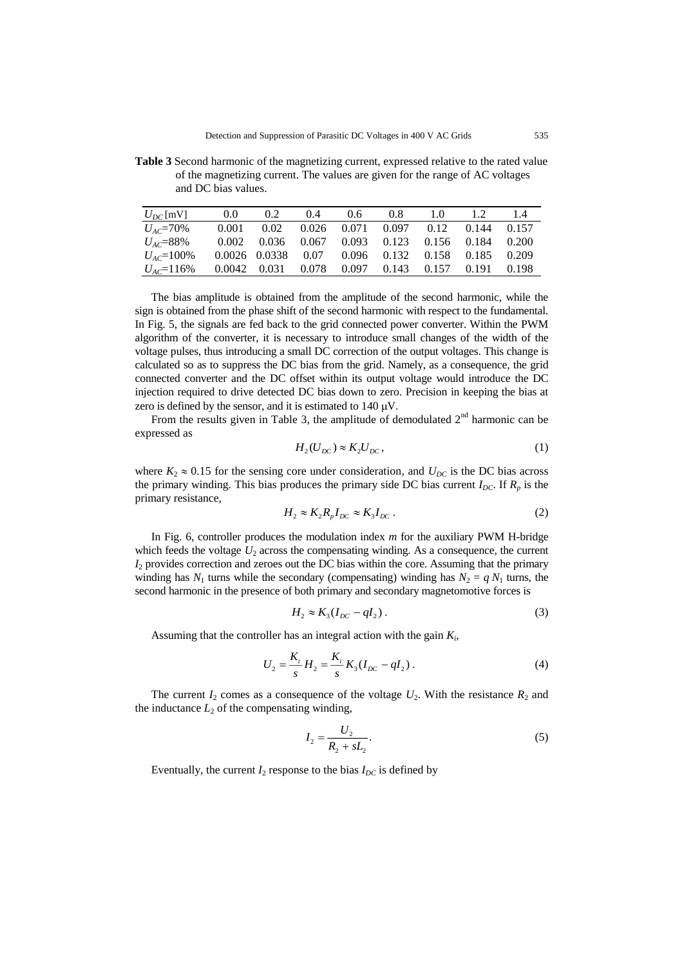**Table 3** Second harmonic of the magnetizing current, expressed relative to the rated value of the magnetizing current. The values are given for the range of AC voltages and DC bias values.

| $U_{DC}$ [mV]    | 0.0   | $0.2^{\circ}$                                    | 0.4   | 0.6 | 0.8                                            | 1.0 | 12          | 1.4 |
|------------------|-------|--------------------------------------------------|-------|-----|------------------------------------------------|-----|-------------|-----|
| $U_{AC} = 70\%$  | 0.001 | 0.02                                             |       |     | $0.026$ $0.071$ $0.097$ $0.12$ $0.144$ $0.157$ |     |             |     |
| $U_{AC} = 88\%$  |       | 0.002 0.036 0.067 0.093 0.123 0.156 0.184 0.200  |       |     |                                                |     |             |     |
| $U_{AC}$ =100%   |       | 0.0026 0.0338 0.07 0.096 0.132 0.158 0.185 0.209 |       |     |                                                |     |             |     |
| $U_{AC} = 116\%$ |       | 0.0042 0.031                                     | 0.078 |     | $0.097$ $0.143$ $0.157$                        |     | 0.191 0.198 |     |

The bias amplitude is obtained from the amplitude of the second harmonic, while the sign is obtained from the phase shift of the second harmonic with respect to the fundamental. In Fig. 5, the signals are fed back to the grid connected power converter. Within the PWM algorithm of the converter, it is necessary to introduce small changes of the width of the voltage pulses, thus introducing a small DC correction of the output voltages. This change is calculated so as to suppress the DC bias from the grid. Namely, as a consequence, the grid connected converter and the DC offset within its output voltage would introduce the DC injection required to drive detected DC bias down to zero. Precision in keeping the bias at zero is defined by the sensor, and it is estimated to  $140 \mu V$ .

From the results given in Table 3, the amplitude of demodulated  $2<sup>nd</sup>$  harmonic can be expressed as

$$
H_2(U_{DC}) \approx K_2 U_{DC},\tag{1}
$$

where  $K_2 \approx 0.15$  for the sensing core under consideration, and  $U_{DC}$  is the DC bias across the primary winding. This bias produces the primary side DC bias current  $I_{DC}$ . If  $R_p$  is the primary resistance,

$$
H_2 \approx K_2 R_p I_{DC} \approx K_3 I_{DC} \,. \tag{2}
$$

In Fig. 6, controller produces the modulation index *m* for the auxiliary PWM H-bridge which feeds the voltage  $U_2$  across the compensating winding. As a consequence, the current *I*<sup>2</sup> provides correction and zeroes out the DC bias within the core. Assuming that the primary winding has  $N_1$  turns while the secondary (compensating) winding has  $N_2 = q N_1$  turns, the second harmonic in the presence of both primary and secondary magnetomotive forces is

$$
H_2 \approx K_3(I_{DC} - qI_2). \tag{3}
$$

Assuming that the controller has an integral action with the gain *K<sup>i</sup>* ,

$$
U_2 = \frac{K_i}{s} H_2 = \frac{K_i}{s} K_3 (I_{DC} - qI_2).
$$
 (4)

The current  $I_2$  comes as a consequence of the voltage  $U_2$ . With the resistance  $R_2$  and the inductance  $L_2$  of the compensating winding,

$$
I_2 = \frac{U_2}{R_2 + sL_2}.\tag{5}
$$

Eventually, the current  $I_2$  response to the bias  $I_{DC}$  is defined by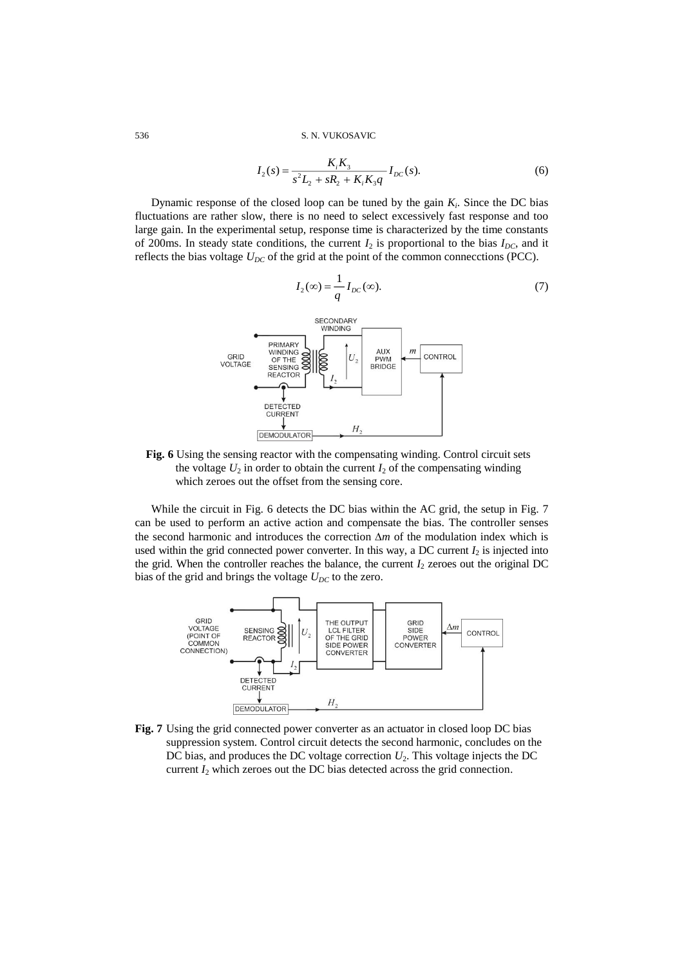$$
I_2(s) = \frac{K_i K_3}{s^2 L_2 + sR_2 + K_i K_3 q} I_{DC}(s).
$$
 (6)

(7)

Dynamic response of the closed loop can be tuned by the gain  $K_i$ . Since the DC bias fluctuations are rather slow, there is no need to select excessively fast response and too large gain. In the experimental setup, response time is characterized by the time constants of 200ms. In steady state conditions, the current  $I_2$  is proportional to the bias  $I_{DC}$ , and it reflects the bias voltage  $U_{DC}$  of the grid at the point of the common connecctions (PCC).



**Fig. 6** Using the sensing reactor with the compensating winding. Control circuit sets the voltage  $U_2$  in order to obtain the current  $I_2$  of the compensating winding which zeroes out the offset from the sensing core.

While the circuit in Fig. 6 detects the DC bias within the AC grid, the setup in Fig. 7 can be used to perform an active action and compensate the bias. The controller senses the second harmonic and introduces the correction  $\Delta m$  of the modulation index which is used within the grid connected power converter. In this way, a DC current  $I_2$  is injected into the grid. When the controller reaches the balance, the current  $I_2$  zeroes out the original DC bias of the grid and brings the voltage  $U_{DC}$  to the zero.



**Fig. 7** Using the grid connected power converter as an actuator in closed loop DC bias suppression system. Control circuit detects the second harmonic, concludes on the DC bias, and produces the DC voltage correction  $U_2$ . This voltage injects the DC current  $I_2$  which zeroes out the DC bias detected across the grid connection.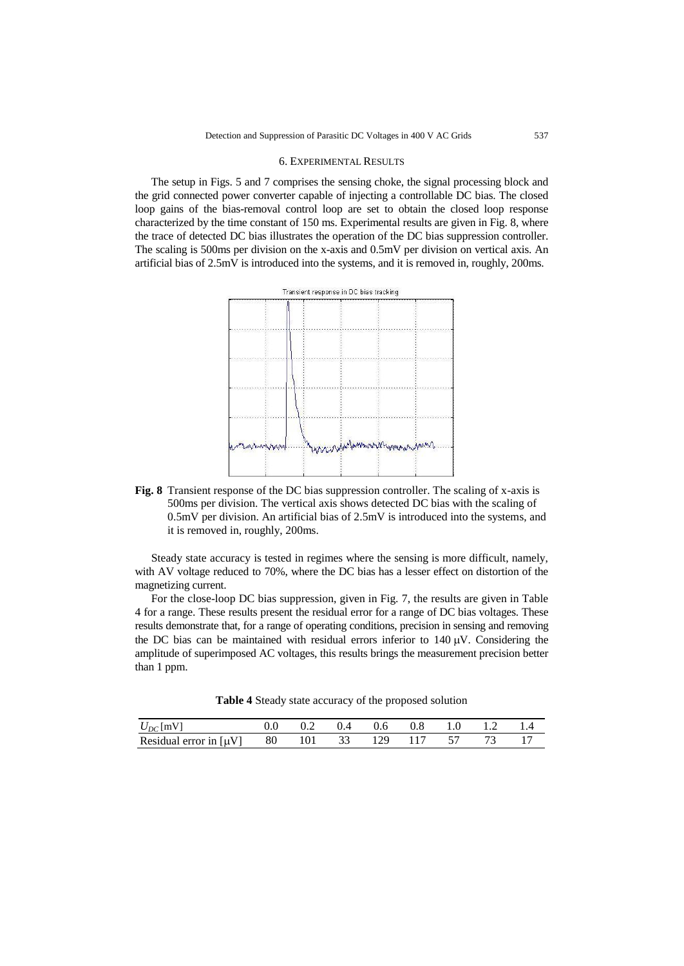#### 6. EXPERIMENTAL RESULTS

The setup in Figs. 5 and 7 comprises the sensing choke, the signal processing block and the grid connected power converter capable of injecting a controllable DC bias. The closed loop gains of the bias-removal control loop are set to obtain the closed loop response characterized by the time constant of 150 ms. Experimental results are given in Fig. 8, where the trace of detected DC bias illustrates the operation of the DC bias suppression controller. The scaling is 500ms per division on the x-axis and 0.5mV per division on vertical axis. An artificial bias of 2.5mV is introduced into the systems, and it is removed in, roughly, 200ms.



**Fig. 8** Transient response of the DC bias suppression controller. The scaling of x-axis is 500ms per division. The vertical axis shows detected DC bias with the scaling of 0.5mV per division. An artificial bias of 2.5mV is introduced into the systems, and it is removed in, roughly, 200ms.

Steady state accuracy is tested in regimes where the sensing is more difficult, namely, with AV voltage reduced to 70%, where the DC bias has a lesser effect on distortion of the magnetizing current.

For the close-loop DC bias suppression, given in Fig. 7, the results are given in Table 4 for a range. These results present the residual error for a range of DC bias voltages. These results demonstrate that, for a range of operating conditions, precision in sensing and removing the DC bias can be maintained with residual errors inferior to  $140 \mu V$ . Considering the amplitude of superimposed AC voltages, this results brings the measurement precision better than 1 ppm.

|               |  |                               | . |  |  |
|---------------|--|-------------------------------|---|--|--|
| $U_{DC}$ [mV] |  | $0.2$ 0.4 0.6 0.8 1.0 1.2 1.4 |   |  |  |

Residual error in  $\begin{bmatrix} uV \end{bmatrix}$  80 101 33 129 117 57 73 17

|  | Table 4 Steady state accuracy of the proposed solution |
|--|--------------------------------------------------------|
|--|--------------------------------------------------------|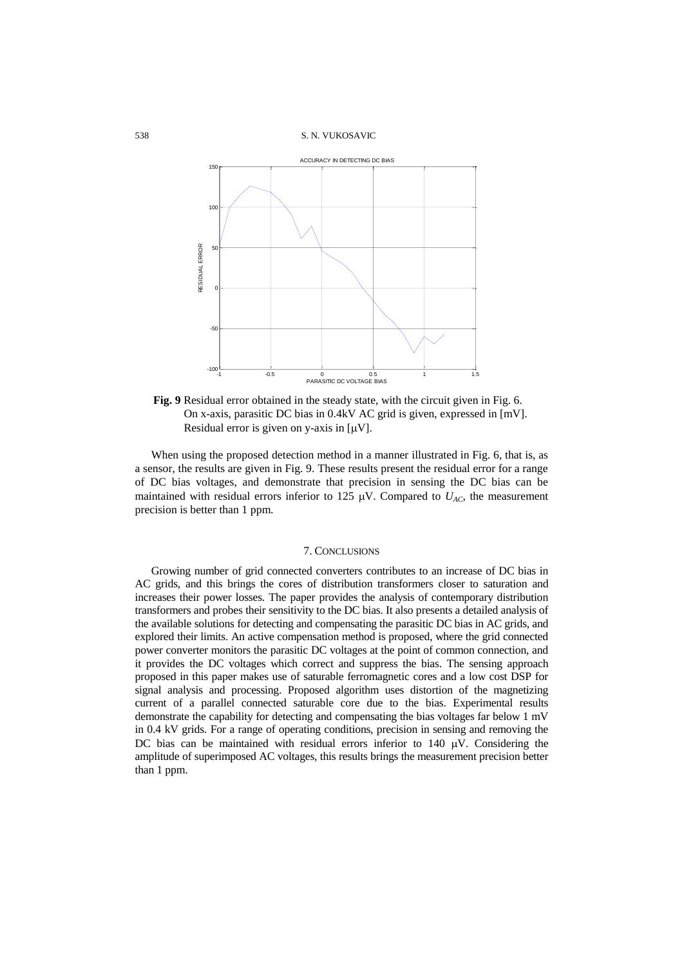538 S. N. VUKOSAVIC



**Fig. 9** Residual error obtained in the steady state, with the circuit given in Fig. 6. On x-axis, parasitic DC bias in 0.4kV AC grid is given, expressed in [mV]. Residual error is given on y-axis in  $[\mu V]$ .

When using the proposed detection method in a manner illustrated in Fig. 6, that is, as a sensor, the results are given in Fig. 9. These results present the residual error for a range of DC bias voltages, and demonstrate that precision in sensing the DC bias can be maintained with residual errors inferior to 125  $\mu$ V. Compared to  $U_{AC}$ , the measurement precision is better than 1 ppm.

# 7. CONCLUSIONS

Growing number of grid connected converters contributes to an increase of DC bias in AC grids, and this brings the cores of distribution transformers closer to saturation and increases their power losses. The paper provides the analysis of contemporary distribution transformers and probes their sensitivity to the DC bias. It also presents a detailed analysis of the available solutions for detecting and compensating the parasitic DC bias in AC grids, and explored their limits. An active compensation method is proposed, where the grid connected power converter monitors the parasitic DC voltages at the point of common connection, and it provides the DC voltages which correct and suppress the bias. The sensing approach proposed in this paper makes use of saturable ferromagnetic cores and a low cost DSP for signal analysis and processing. Proposed algorithm uses distortion of the magnetizing current of a parallel connected saturable core due to the bias. Experimental results demonstrate the capability for detecting and compensating the bias voltages far below 1 mV in 0.4 kV grids. For a range of operating conditions, precision in sensing and removing the DC bias can be maintained with residual errors inferior to  $140 \mu V$ . Considering the amplitude of superimposed AC voltages, this results brings the measurement precision better than 1 ppm.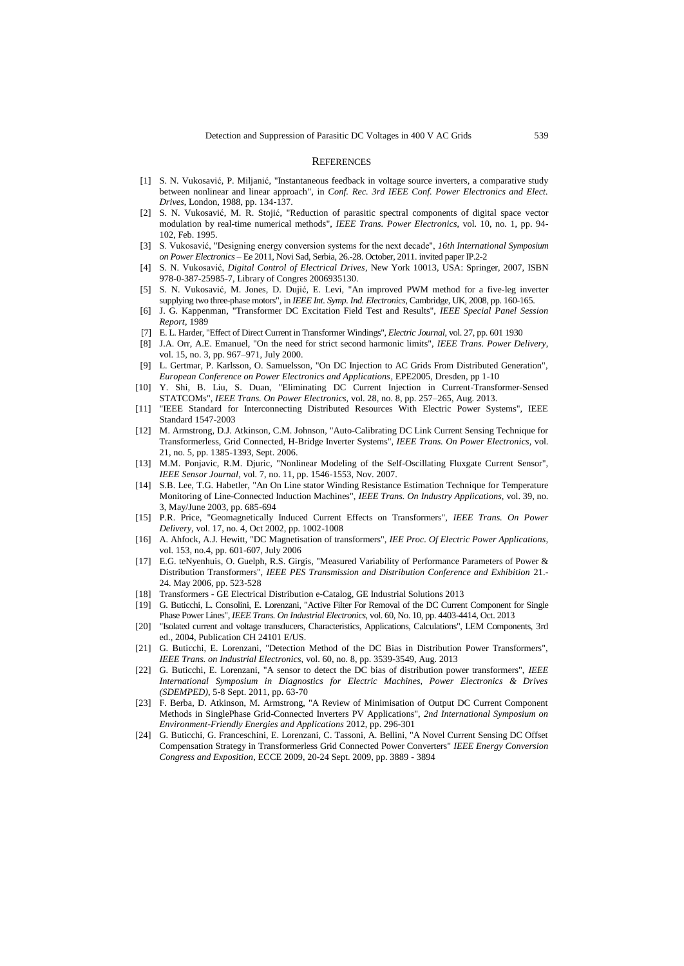#### **REFERENCES**

- [1] S. N. Vukosavić, P. Miljanić, "Instantaneous feedback in voltage source inverters, a comparative study between nonlinear and linear approach", in *Conf. Rec. 3rd IEEE Conf. Power Electronics and Elect. Drives*, London, 1988, pp. 134-137.
- [2] S. N. Vukosavić, M. R. Stojić, "Reduction of parasitic spectral components of digital space vector modulation by real-time numerical methods", *IEEE Trans. Power Electronics*, vol. 10, no. 1, pp. 94- 102, Feb. 1995.
- [3] S. Vukosavić, "Designing energy conversion systems for the next decade", *16th International Symposium on Power Electronics* – Ee 2011, Novi Sad, Serbia, 26.-28. October, 2011. invited paper IP.2-2
- [4] S. N. Vukosavić, *Digital Control of Electrical Drives*, New York 10013, USA: Springer, 2007, ISBN 978-0-387-25985-7, Library of Congres 2006935130.
- [5] S. N. Vukosavić, M. Jones, D. Dujić, E. Levi, "An improved PWM method for a five-leg inverter supplying two three-phase motors", in *IEEE Int. Symp. Ind. Electronics*, Cambridge, UK, 2008, pp. 160-165.
- [6] J. G. Kappenman, "Transformer DC Excitation Field Test and Results", *IEEE Special Panel Session Report*, 1989
- [7] E. L. Harder, "Effect of Direct Current in Transformer Windings", *Electric Journal*, vol. 27, pp. 601 1930
- [8] J.A. Orr, A.E. Emanuel, "On the need for strict second harmonic limits", *IEEE Trans. Power Delivery*, vol. 15, no. 3, pp. 967–971, July 2000.
- L. Gertmar, P. Karlsson, O. Samuelsson, "On DC Injection to AC Grids From Distributed Generation", *European Conference on Power Electronics and Applications*, EPE2005, Dresden, pp 1-10
- [10] Y. Shi, B. Liu, S. Duan, "Eliminating DC Current Injection in Current-Transformer-Sensed STATCOMs", *IEEE Trans. On Power Electronics,* vol. 28, no. 8, pp. 257–265, Aug. 2013.
- [11] "IEEE Standard for Interconnecting Distributed Resources With Electric Power Systems", IEEE Standard 1547-2003
- [12] M. Armstrong, D.J. Atkinson, C.M. Johnson, "Auto-Calibrating DC Link Current Sensing Technique for Transformerless, Grid Connected, H-Bridge Inverter Systems", *IEEE Trans. On Power Electronics,* vol. 21, no. 5, pp. 1385-1393, Sept. 2006.
- [13] M.M. Ponjavic, R.M. Djuric, "Nonlinear Modeling of the Self-Oscillating Fluxgate Current Sensor", *IEEE Sensor Journal,* vol. 7, no. 11, pp. 1546-1553, Nov. 2007.
- [14] S.B. Lee, T.G. Habetler, "An On Line stator Winding Resistance Estimation Technique for Temperature Monitoring of Line-Connected Induction Machines", *IEEE Trans. On Industry Applications,* vol. 39, no. 3, May/June 2003, pp. 685-694
- [15] P.R. Price, "Geomagnetically Induced Current Effects on Transformers", *IEEE Trans. On Power Delivery,* vol. 17, no. 4, Oct 2002, pp. 1002-1008
- [16] A. Ahfock, A.J. Hewitt, "DC Magnetisation of transformers", *IEE Proc. Of Electric Power Applications,*  vol. 153, no.4, pp. 601-607, July 2006
- [17] E.G. teNyenhuis, O. Guelph, R.S. Girgis, "Measured Variability of Performance Parameters of Power & Distribution Transformers", *IEEE PES Transmission and Distribution Conference and Exhibition* 21.- 24. May 2006, pp. 523-528
- [18] Transformers GE Electrical Distribution e-Catalog, GE Industrial Solutions 2013
- [19] G. Buticchi, L. Consolini, E. Lorenzani, "Active Filter For Removal of the DC Current Component for Single Phase Power Lines", *IEEE Trans. On Industrial Electronics,* vol. 60, No. 10, pp. 4403-4414, Oct. 2013
- [20] "Isolated current and voltage transducers, Characteristics, Applications, Calculations", LEM Components, 3rd ed., 2004, Publication CH 24101 E/US.
- [21] G. Buticchi, E. Lorenzani, "Detection Method of the DC Bias in Distribution Power Transformers", *IEEE Trans. on Industrial Electronics,* vol. 60, no. 8, pp. 3539-3549, Aug. 2013
- [22] G. Buticchi, E. Lorenzani, "A sensor to detect the DC bias of distribution power transformers", *IEEE International Symposium in Diagnostics for Electric Machines, Power Electronics & Drives (SDEMPED)*, 5-8 Sept. 2011, pp. 63-70
- [23] F. Berba, D. Atkinson, M. Armstrong, "A Review of Minimisation of Output DC Current Component Methods in SinglePhase Grid-Connected Inverters PV Applications", *2nd International Symposium on Environment-Friendly Energies and Applications* 2012, pp. 296-301
- [24] G. Buticchi, G. Franceschini, E. Lorenzani, C. Tassoni, A. Bellini, "A Novel Current Sensing DC Offset Compensation Strategy in Transformerless Grid Connected Power Converters" *IEEE Energy Conversion Congress and Exposition*, ECCE 2009, 20-24 Sept. 2009, pp. 3889 - 3894